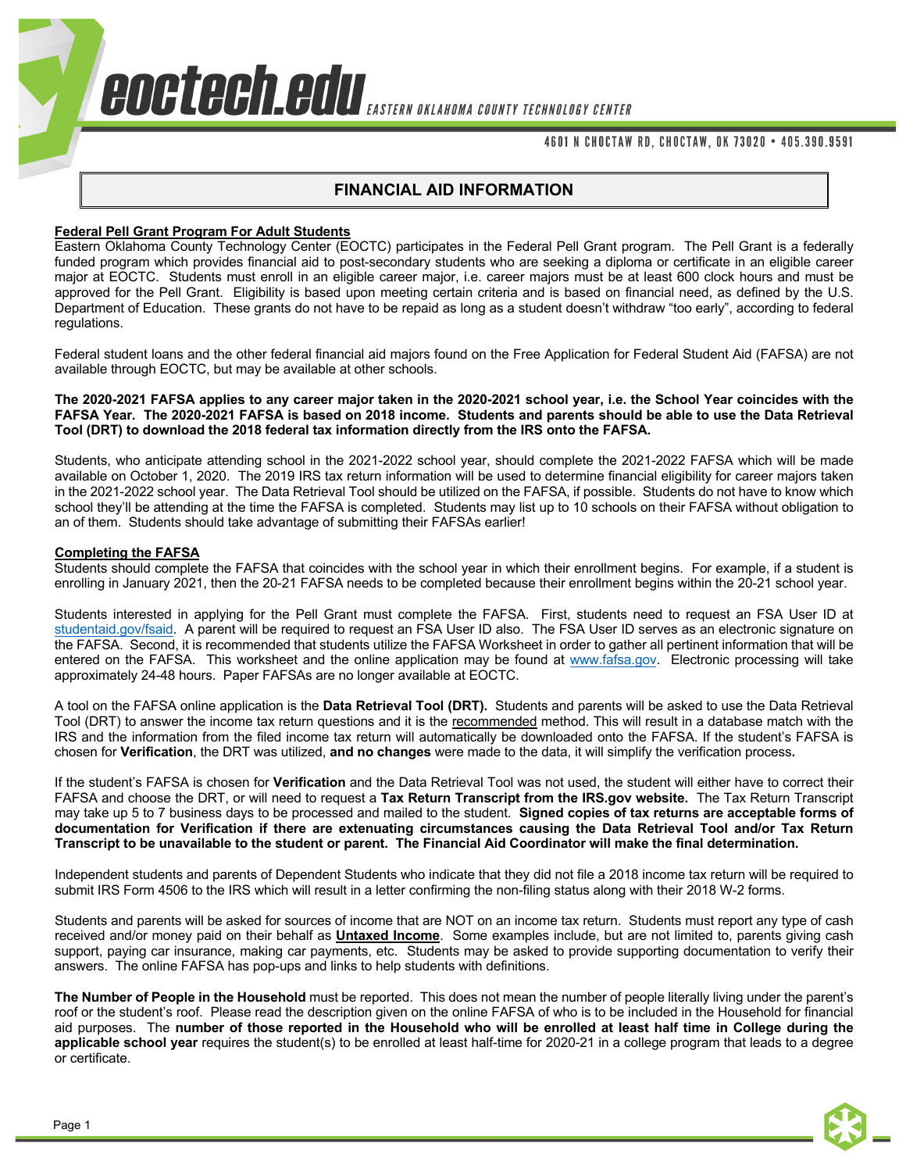## 4601 N CHOCTAW RD, CHOCTAW, OK 73020 • 405.390.9591

## **FINANCIAL AID INFORMATION**

## **Federal Pell Grant Program For Adult Students**

Eastern Oklahoma County Technology Center (EOCTC) participates in the Federal Pell Grant program. The Pell Grant is a federally funded program which provides financial aid to post-secondary students who are seeking a diploma or certificate in an eligible career major at EOCTC. Students must enroll in an eligible career major, i.e. career majors must be at least 600 clock hours and must be approved for the Pell Grant. Eligibility is based upon meeting certain criteria and is based on financial need, as defined by the U.S. Department of Education. These grants do not have to be repaid as long as a student doesn't withdraw "too early", according to federal regulations.

Federal student loans and the other federal financial aid majors found on the Free Application for Federal Student Aid (FAFSA) are not available through EOCTC, but may be available at other schools.

**The 2020-2021 FAFSA applies to any career major taken in the 2020-2021 school year, i.e. the School Year coincides with the FAFSA Year. The 2020-2021 FAFSA is based on 2018 income. Students and parents should be able to use the Data Retrieval Tool (DRT) to download the 2018 federal tax information directly from the IRS onto the FAFSA.** 

Students, who anticipate attending school in the 2021-2022 school year, should complete the 2021-2022 FAFSA which will be made available on October 1, 2020. The 2019 IRS tax return information will be used to determine financial eligibility for career majors taken in the 2021-2022 school year. The Data Retrieval Tool should be utilized on the FAFSA, if possible. Students do not have to know which school they'll be attending at the time the FAFSA is completed. Students may list up to 10 schools on their FAFSA without obligation to an of them. Students should take advantage of submitting their FAFSAs earlier!

#### **Completing the FAFSA**

Students should complete the FAFSA that coincides with the school year in which their enrollment begins. For example, if a student is enrolling in January 2021, then the 20-21 FAFSA needs to be completed because their enrollment begins within the 20-21 school year.

Students interested in applying for the Pell Grant must complete the FAFSA. First, students need to request an FSA User ID at studentaid.gov/fsaid. A parent will be required to request an FSA User ID also. The FSA User ID serves as an electronic signature on the FAFSA. Second, it is recommended that students utilize the FAFSA Worksheet in order to gather all pertinent information that will be entered on the FAFSA. This worksheet and the online application may be found at www.fafsa.gov. Electronic processing will take approximately 24-48 hours. Paper FAFSAs are no longer available at EOCTC.

A tool on the FAFSA online application is the **Data Retrieval Tool (DRT).** Students and parents will be asked to use the Data Retrieval Tool (DRT) to answer the income tax return questions and it is the recommended method. This will result in a database match with the IRS and the information from the filed income tax return will automatically be downloaded onto the FAFSA. If the student's FAFSA is chosen for **Verification**, the DRT was utilized, **and no changes** were made to the data, it will simplify the verification process**.** 

If the student's FAFSA is chosen for **Verification** and the Data Retrieval Tool was not used, the student will either have to correct their FAFSA and choose the DRT, or will need to request a **Tax Return Transcript from the IRS.gov website.** The Tax Return Transcript may take up 5 to 7 business days to be processed and mailed to the student. **Signed copies of tax returns are acceptable forms of documentation for Verification if there are extenuating circumstances causing the Data Retrieval Tool and/or Tax Return Transcript to be unavailable to the student or parent. The Financial Aid Coordinator will make the final determination.** 

Independent students and parents of Dependent Students who indicate that they did not file a 2018 income tax return will be required to submit IRS Form 4506 to the IRS which will result in a letter confirming the non-filing status along with their 2018 W-2 forms.

Students and parents will be asked for sources of income that are NOT on an income tax return. Students must report any type of cash received and/or money paid on their behalf as **Untaxed Income**. Some examples include, but are not limited to, parents giving cash support, paying car insurance, making car payments, etc. Students may be asked to provide supporting documentation to verify their answers. The online FAFSA has pop-ups and links to help students with definitions.

**The Number of People in the Household** must be reported. This does not mean the number of people literally living under the parent's roof or the student's roof. Please read the description given on the online FAFSA of who is to be included in the Household for financial aid purposes. The **number of those reported in the Household who will be enrolled at least half time in College during the applicable school year** requires the student(s) to be enrolled at least half-time for 2020-21 in a college program that leads to a degree or certificate.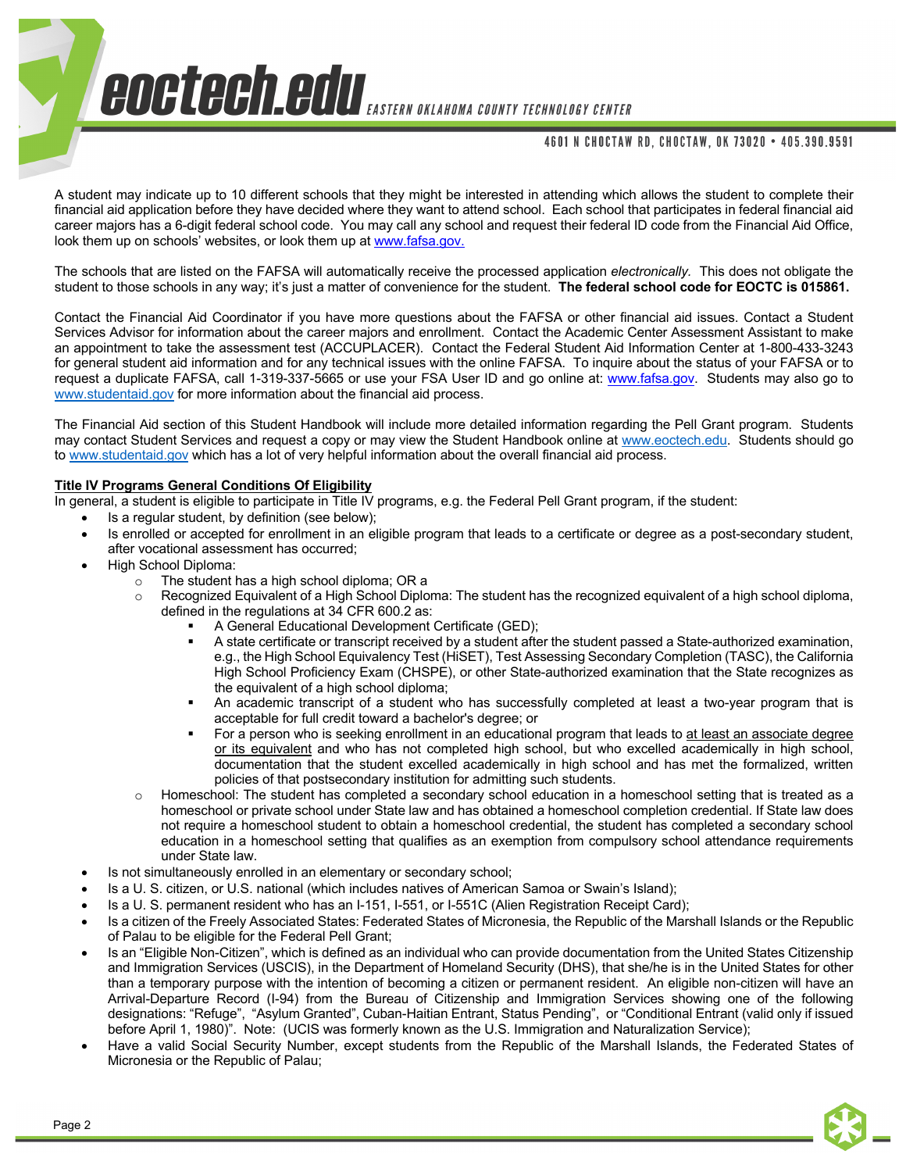### 4601 N CHOCTAW RD, CHOCTAW, OK 73020 • 405.390.9591

A student may indicate up to 10 different schools that they might be interested in attending which allows the student to complete their financial aid application before they have decided where they want to attend school. Each school that participates in federal financial aid career majors has a 6-digit federal school code. You may call any school and request their federal ID code from the Financial Aid Office, look them up on schools' websites, or look them up at www.fafsa.gov.

The schools that are listed on the FAFSA will automatically receive the processed application *electronically.* This does not obligate the student to those schools in any way; it's just a matter of convenience for the student. **The federal school code for EOCTC is 015861.**

Contact the Financial Aid Coordinator if you have more questions about the FAFSA or other financial aid issues. Contact a Student Services Advisor for information about the career majors and enrollment. Contact the Academic Center Assessment Assistant to make an appointment to take the assessment test (ACCUPLACER). Contact the Federal Student Aid Information Center at 1-800-433-3243 for general student aid information and for any technical issues with the online FAFSA. To inquire about the status of your FAFSA or to request a duplicate FAFSA, call 1-319-337-5665 or use your FSA User ID and go online at: www.fafsa.gov. Students may also go to www.studentaid.gov for more information about the financial aid process.

The Financial Aid section of this Student Handbook will include more detailed information regarding the Pell Grant program. Students may contact Student Services and request a copy or may view the Student Handbook online at www.eoctech.edu. Students should go to www.studentaid.gov which has a lot of very helpful information about the overall financial aid process.

## **Title IV Programs General Conditions Of Eligibility**

In general, a student is eligible to participate in Title IV programs, e.g. the Federal Pell Grant program, if the student:

- Is a regular student, by definition (see below);
- Is enrolled or accepted for enrollment in an eligible program that leads to a certificate or degree as a post-secondary student, after vocational assessment has occurred;
- High School Diploma:
	- o The student has a high school diploma; OR a
		- o Recognized Equivalent of a High School Diploma: The student has the recognized equivalent of a high school diploma, defined in the regulations at 34 CFR 600.2 as:
			- § A General Educational Development Certificate (GED);
				- A state certificate or transcript received by a student after the student passed a State-authorized examination, e.g., the High School Equivalency Test (HiSET), Test Assessing Secondary Completion (TASC), the California High School Proficiency Exam (CHSPE), or other State-authorized examination that the State recognizes as the equivalent of a high school diploma;
			- An academic transcript of a student who has successfully completed at least a two-year program that is acceptable for full credit toward a bachelor's degree; or
			- For a person who is seeking enrollment in an educational program that leads to at least an associate degree or its equivalent and who has not completed high school, but who excelled academically in high school, documentation that the student excelled academically in high school and has met the formalized, written policies of that postsecondary institution for admitting such students.
		- o Homeschool: The student has completed a secondary school education in a homeschool setting that is treated as a homeschool or private school under State law and has obtained a homeschool completion credential. If State law does not require a homeschool student to obtain a homeschool credential, the student has completed a secondary school education in a homeschool setting that qualifies as an exemption from compulsory school attendance requirements under State law.
- Is not simultaneously enrolled in an elementary or secondary school;
- Is a U. S. citizen, or U.S. national (which includes natives of American Samoa or Swain's Island);
- Is a U. S. permanent resident who has an I-151, I-551, or I-551C (Alien Registration Receipt Card);
- Is a citizen of the Freely Associated States: Federated States of Micronesia, the Republic of the Marshall Islands or the Republic of Palau to be eligible for the Federal Pell Grant;
- Is an "Eligible Non-Citizen", which is defined as an individual who can provide documentation from the United States Citizenship and Immigration Services (USCIS), in the Department of Homeland Security (DHS), that she/he is in the United States for other than a temporary purpose with the intention of becoming a citizen or permanent resident. An eligible non-citizen will have an Arrival-Departure Record (I-94) from the Bureau of Citizenship and Immigration Services showing one of the following designations: "Refuge", "Asylum Granted", Cuban-Haitian Entrant, Status Pending", or "Conditional Entrant (valid only if issued before April 1, 1980)". Note: (UCIS was formerly known as the U.S. Immigration and Naturalization Service);
- Have a valid Social Security Number, except students from the Republic of the Marshall Islands, the Federated States of Micronesia or the Republic of Palau;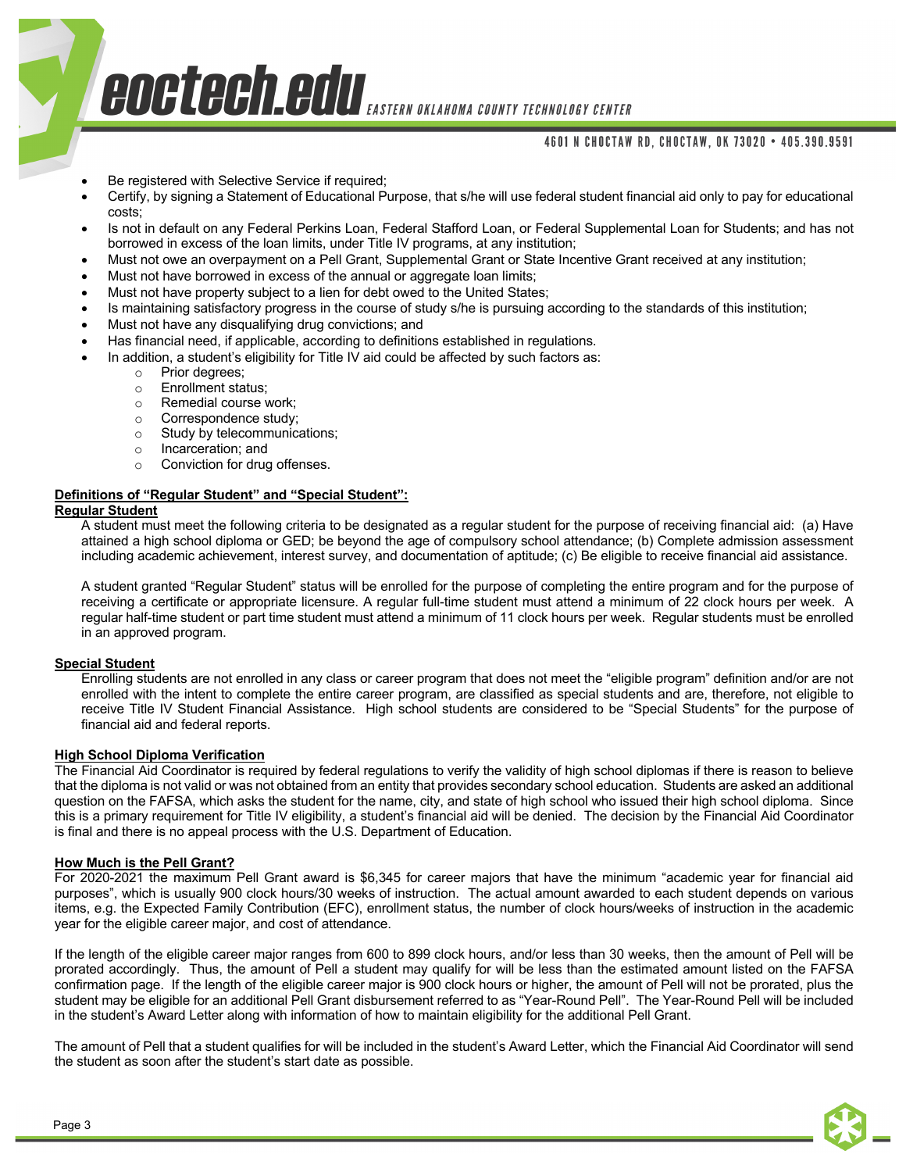## 4601 N CHOCTAW RD, CHOCTAW, OK 73020 • 405.390.9591

- Be registered with Selective Service if required;
- Certify, by signing a Statement of Educational Purpose, that s/he will use federal student financial aid only to pay for educational costs;
- Is not in default on any Federal Perkins Loan, Federal Stafford Loan, or Federal Supplemental Loan for Students; and has not borrowed in excess of the loan limits, under Title IV programs, at any institution;
- Must not owe an overpayment on a Pell Grant, Supplemental Grant or State Incentive Grant received at any institution;
- Must not have borrowed in excess of the annual or aggregate loan limits;
- Must not have property subject to a lien for debt owed to the United States;
- Is maintaining satisfactory progress in the course of study s/he is pursuing according to the standards of this institution;
- Must not have any disqualifying drug convictions; and
- Has financial need, if applicable, according to definitions established in regulations.
- In addition, a student's eligibility for Title IV aid could be affected by such factors as:
	- o Prior degrees;
	- o Enrollment status;
	- o Remedial course work;
	- o Correspondence study;
	- o Study by telecommunications;
	- o Incarceration; and
	- Conviction for drug offenses.

#### **Definitions of "Regular Student" and "Special Student":**

#### **Regular Student**

A student must meet the following criteria to be designated as a regular student for the purpose of receiving financial aid: (a) Have attained a high school diploma or GED; be beyond the age of compulsory school attendance; (b) Complete admission assessment including academic achievement, interest survey, and documentation of aptitude; (c) Be eligible to receive financial aid assistance.

A student granted "Regular Student" status will be enrolled for the purpose of completing the entire program and for the purpose of receiving a certificate or appropriate licensure. A regular full-time student must attend a minimum of 22 clock hours per week. A regular half-time student or part time student must attend a minimum of 11 clock hours per week. Regular students must be enrolled in an approved program.

#### **Special Student**

Enrolling students are not enrolled in any class or career program that does not meet the "eligible program" definition and/or are not enrolled with the intent to complete the entire career program, are classified as special students and are, therefore, not eligible to receive Title IV Student Financial Assistance. High school students are considered to be "Special Students" for the purpose of financial aid and federal reports.

#### **High School Diploma Verification**

The Financial Aid Coordinator is required by federal regulations to verify the validity of high school diplomas if there is reason to believe that the diploma is not valid or was not obtained from an entity that provides secondary school education. Students are asked an additional question on the FAFSA, which asks the student for the name, city, and state of high school who issued their high school diploma. Since this is a primary requirement for Title IV eligibility, a student's financial aid will be denied. The decision by the Financial Aid Coordinator is final and there is no appeal process with the U.S. Department of Education.

#### **How Much is the Pell Grant?**

For 2020-2021 the maximum Pell Grant award is \$6,345 for career majors that have the minimum "academic year for financial aid purposes", which is usually 900 clock hours/30 weeks of instruction. The actual amount awarded to each student depends on various items, e.g. the Expected Family Contribution (EFC), enrollment status, the number of clock hours/weeks of instruction in the academic year for the eligible career major, and cost of attendance.

If the length of the eligible career major ranges from 600 to 899 clock hours, and/or less than 30 weeks, then the amount of Pell will be prorated accordingly. Thus, the amount of Pell a student may qualify for will be less than the estimated amount listed on the FAFSA confirmation page. If the length of the eligible career major is 900 clock hours or higher, the amount of Pell will not be prorated, plus the student may be eligible for an additional Pell Grant disbursement referred to as "Year-Round Pell". The Year-Round Pell will be included in the student's Award Letter along with information of how to maintain eligibility for the additional Pell Grant.

The amount of Pell that a student qualifies for will be included in the student's Award Letter, which the Financial Aid Coordinator will send the student as soon after the student's start date as possible.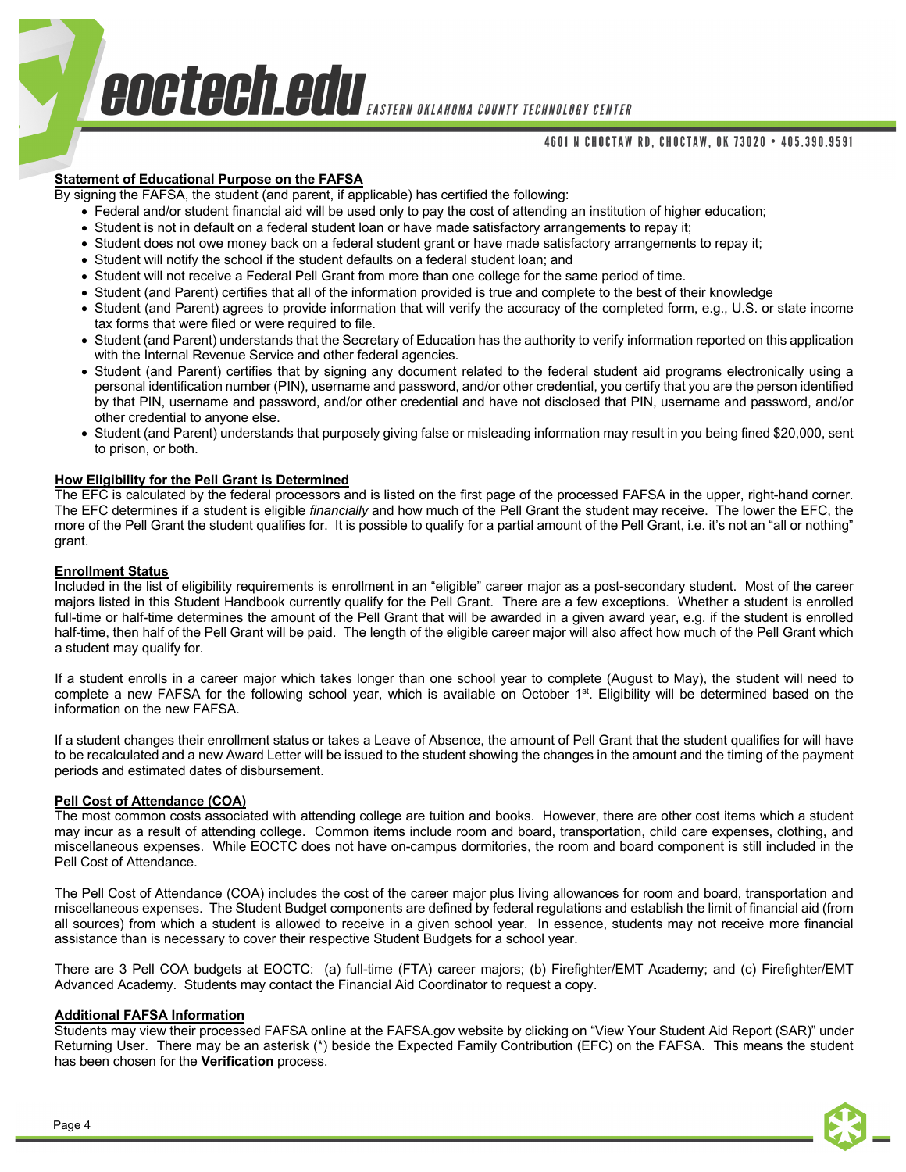## 4601 N CHOCTAW RD, CHOCTAW, OK 73020 • 405.390.9591

# **Statement of Educational Purpose on the FAFSA**

By signing the FAFSA, the student (and parent, if applicable) has certified the following:

- Federal and/or student financial aid will be used only to pay the cost of attending an institution of higher education;
- Student is not in default on a federal student loan or have made satisfactory arrangements to repay it;
- Student does not owe money back on a federal student grant or have made satisfactory arrangements to repay it;
- Student will notify the school if the student defaults on a federal student loan; and
- Student will not receive a Federal Pell Grant from more than one college for the same period of time.
- Student (and Parent) certifies that all of the information provided is true and complete to the best of their knowledge
- Student (and Parent) agrees to provide information that will verify the accuracy of the completed form, e.g., U.S. or state income tax forms that were filed or were required to file.
- Student (and Parent) understands that the Secretary of Education has the authority to verify information reported on this application with the Internal Revenue Service and other federal agencies.
- Student (and Parent) certifies that by signing any document related to the federal student aid programs electronically using a personal identification number (PIN), username and password, and/or other credential, you certify that you are the person identified by that PIN, username and password, and/or other credential and have not disclosed that PIN, username and password, and/or other credential to anyone else.
- Student (and Parent) understands that purposely giving false or misleading information may result in you being fined \$20,000, sent to prison, or both.

## **How Eligibility for the Pell Grant is Determined**

The EFC is calculated by the federal processors and is listed on the first page of the processed FAFSA in the upper, right-hand corner. The EFC determines if a student is eligible *financially* and how much of the Pell Grant the student may receive. The lower the EFC, the more of the Pell Grant the student qualifies for. It is possible to qualify for a partial amount of the Pell Grant, i.e. it's not an "all or nothing" grant.

#### **Enrollment Status**

Included in the list of eligibility requirements is enrollment in an "eligible" career major as a post-secondary student. Most of the career majors listed in this Student Handbook currently qualify for the Pell Grant. There are a few exceptions. Whether a student is enrolled full-time or half-time determines the amount of the Pell Grant that will be awarded in a given award year, e.g. if the student is enrolled half-time, then half of the Pell Grant will be paid. The length of the eligible career major will also affect how much of the Pell Grant which a student may qualify for.

If a student enrolls in a career major which takes longer than one school year to complete (August to May), the student will need to complete a new FAFSA for the following school year, which is available on October 1st. Eligibility will be determined based on the information on the new FAFSA.

If a student changes their enrollment status or takes a Leave of Absence, the amount of Pell Grant that the student qualifies for will have to be recalculated and a new Award Letter will be issued to the student showing the changes in the amount and the timing of the payment periods and estimated dates of disbursement.

## **Pell Cost of Attendance (COA)**

The most common costs associated with attending college are tuition and books. However, there are other cost items which a student may incur as a result of attending college. Common items include room and board, transportation, child care expenses, clothing, and miscellaneous expenses. While EOCTC does not have on-campus dormitories, the room and board component is still included in the Pell Cost of Attendance.

The Pell Cost of Attendance (COA) includes the cost of the career major plus living allowances for room and board, transportation and miscellaneous expenses. The Student Budget components are defined by federal regulations and establish the limit of financial aid (from all sources) from which a student is allowed to receive in a given school year. In essence, students may not receive more financial assistance than is necessary to cover their respective Student Budgets for a school year.

There are 3 Pell COA budgets at EOCTC: (a) full-time (FTA) career majors; (b) Firefighter/EMT Academy; and (c) Firefighter/EMT Advanced Academy. Students may contact the Financial Aid Coordinator to request a copy.

#### **Additional FAFSA Information**

Students may view their processed FAFSA online at the FAFSA.gov website by clicking on "View Your Student Aid Report (SAR)" under Returning User. There may be an asterisk (\*) beside the Expected Family Contribution (EFC) on the FAFSA. This means the student has been chosen for the **Verification** process.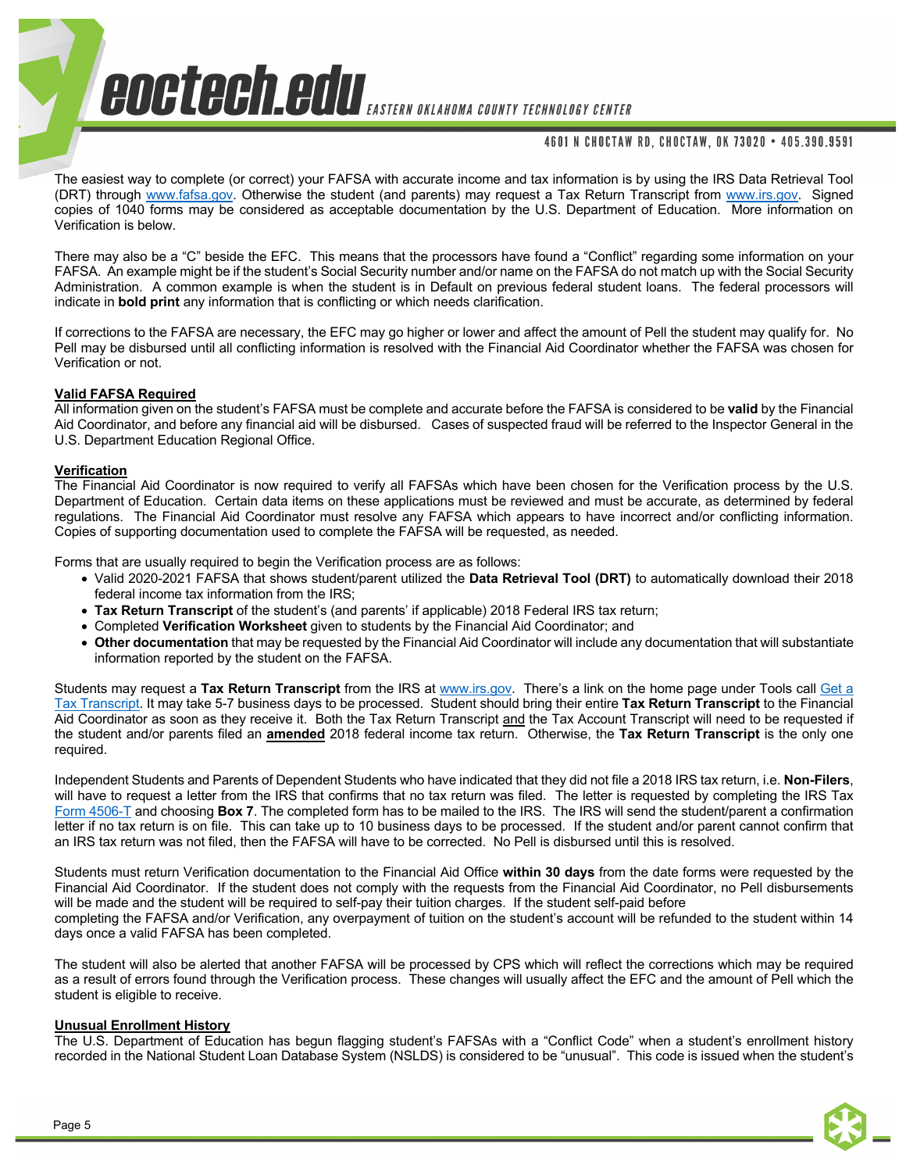# 4601 N CHOCTAW RD, CHOCTAW, OK 73020 • 405.390.9591

The easiest way to complete (or correct) your FAFSA with accurate income and tax information is by using the IRS Data Retrieval Tool (DRT) through www.fafsa.gov. Otherwise the student (and parents) may request a Tax Return Transcript from www.irs.gov. Signed copies of 1040 forms may be considered as acceptable documentation by the U.S. Department of Education. More information on Verification is below.

There may also be a "C" beside the EFC. This means that the processors have found a "Conflict" regarding some information on your FAFSA. An example might be if the student's Social Security number and/or name on the FAFSA do not match up with the Social Security Administration. A common example is when the student is in Default on previous federal student loans. The federal processors will indicate in **bold print** any information that is conflicting or which needs clarification.

If corrections to the FAFSA are necessary, the EFC may go higher or lower and affect the amount of Pell the student may qualify for. No Pell may be disbursed until all conflicting information is resolved with the Financial Aid Coordinator whether the FAFSA was chosen for Verification or not.

## **Valid FAFSA Required**

All information given on the student's FAFSA must be complete and accurate before the FAFSA is considered to be **valid** by the Financial Aid Coordinator, and before any financial aid will be disbursed. Cases of suspected fraud will be referred to the Inspector General in the U.S. Department Education Regional Office.

#### **Verification**

The Financial Aid Coordinator is now required to verify all FAFSAs which have been chosen for the Verification process by the U.S. Department of Education. Certain data items on these applications must be reviewed and must be accurate, as determined by federal regulations. The Financial Aid Coordinator must resolve any FAFSA which appears to have incorrect and/or conflicting information. Copies of supporting documentation used to complete the FAFSA will be requested, as needed.

Forms that are usually required to begin the Verification process are as follows:

- Valid 2020-2021 FAFSA that shows student/parent utilized the **Data Retrieval Tool (DRT)** to automatically download their 2018 federal income tax information from the IRS;
- **Tax Return Transcript** of the student's (and parents' if applicable) 2018 Federal IRS tax return;
- Completed **Verification Worksheet** given to students by the Financial Aid Coordinator; and
- **Other documentation** that may be requested by the Financial Aid Coordinator will include any documentation that will substantiate information reported by the student on the FAFSA.

Students may request a **Tax Return Transcript** from the IRS at www.irs.gov. There's a link on the home page under Tools call Get a Tax Transcript. It may take 5-7 business days to be processed. Student should bring their entire **Tax Return Transcript** to the Financial Aid Coordinator as soon as they receive it. Both the Tax Return Transcript and the Tax Account Transcript will need to be requested if the student and/or parents filed an **amended** 2018 federal income tax return. Otherwise, the **Tax Return Transcript** is the only one required.

Independent Students and Parents of Dependent Students who have indicated that they did not file a 2018 IRS tax return, i.e. **Non-Filers**, will have to request a letter from the IRS that confirms that no tax return was filed. The letter is requested by completing the IRS Tax Form 4506-T and choosing **Box 7**. The completed form has to be mailed to the IRS. The IRS will send the student/parent a confirmation letter if no tax return is on file. This can take up to 10 business days to be processed. If the student and/or parent cannot confirm that an IRS tax return was not filed, then the FAFSA will have to be corrected. No Pell is disbursed until this is resolved.

Students must return Verification documentation to the Financial Aid Office **within 30 days** from the date forms were requested by the Financial Aid Coordinator. If the student does not comply with the requests from the Financial Aid Coordinator, no Pell disbursements will be made and the student will be required to self-pay their tuition charges. If the student self-paid before completing the FAFSA and/or Verification, any overpayment of tuition on the student's account will be refunded to the student within 14 days once a valid FAFSA has been completed.

The student will also be alerted that another FAFSA will be processed by CPS which will reflect the corrections which may be required as a result of errors found through the Verification process. These changes will usually affect the EFC and the amount of Pell which the student is eligible to receive.

## **Unusual Enrollment History**

The U.S. Department of Education has begun flagging student's FAFSAs with a "Conflict Code" when a student's enrollment history recorded in the National Student Loan Database System (NSLDS) is considered to be "unusual". This code is issued when the student's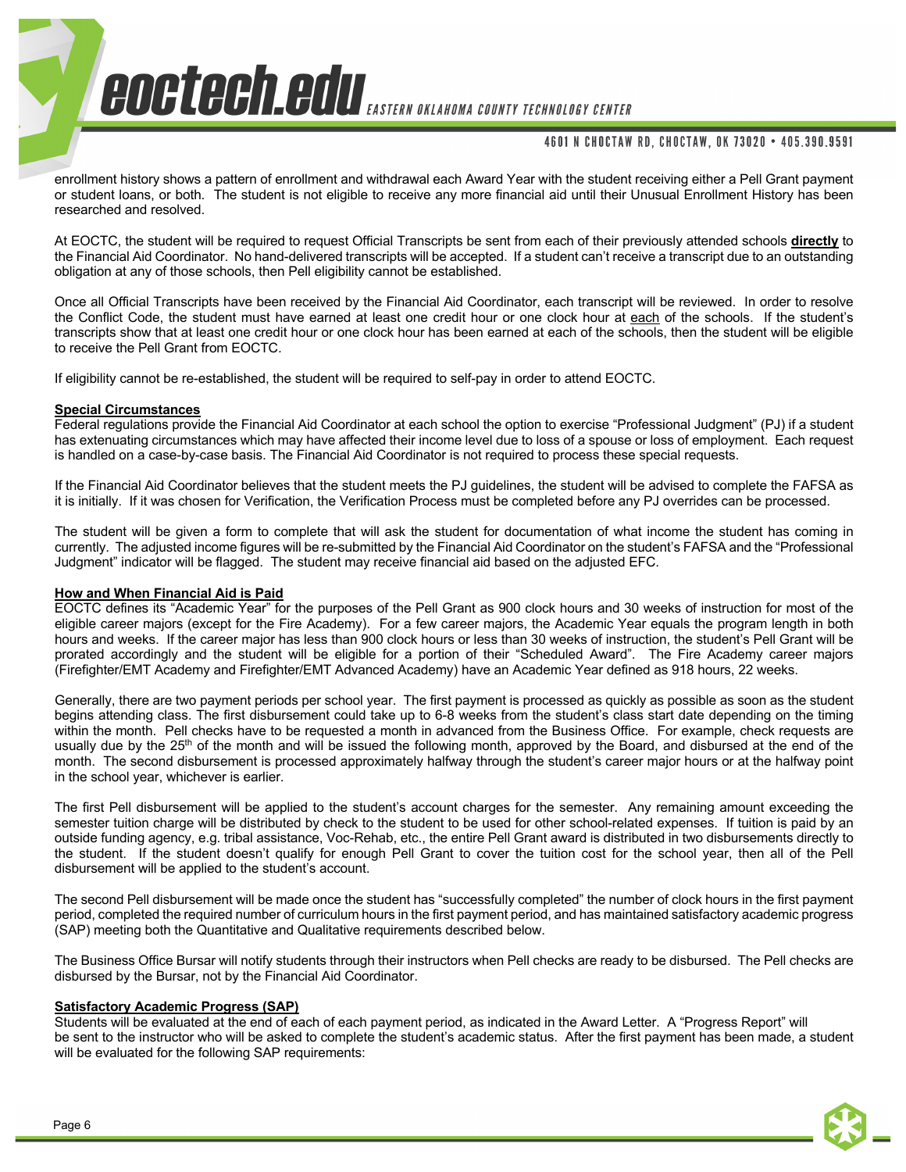# 4601 N CHOCTAW RD, CHOCTAW, OK 73020 • 405.390.9591

enrollment history shows a pattern of enrollment and withdrawal each Award Year with the student receiving either a Pell Grant payment or student loans, or both. The student is not eligible to receive any more financial aid until their Unusual Enrollment History has been researched and resolved.

At EOCTC, the student will be required to request Official Transcripts be sent from each of their previously attended schools **directly** to the Financial Aid Coordinator. No hand-delivered transcripts will be accepted. If a student can't receive a transcript due to an outstanding obligation at any of those schools, then Pell eligibility cannot be established.

Once all Official Transcripts have been received by the Financial Aid Coordinator, each transcript will be reviewed. In order to resolve the Conflict Code, the student must have earned at least one credit hour or one clock hour at each of the schools. If the student's transcripts show that at least one credit hour or one clock hour has been earned at each of the schools, then the student will be eligible to receive the Pell Grant from EOCTC.

If eligibility cannot be re-established, the student will be required to self-pay in order to attend EOCTC.

#### **Special Circumstances**

Federal regulations provide the Financial Aid Coordinator at each school the option to exercise "Professional Judgment" (PJ) if a student has extenuating circumstances which may have affected their income level due to loss of a spouse or loss of employment. Each request is handled on a case-by-case basis. The Financial Aid Coordinator is not required to process these special requests.

If the Financial Aid Coordinator believes that the student meets the PJ guidelines, the student will be advised to complete the FAFSA as it is initially. If it was chosen for Verification, the Verification Process must be completed before any PJ overrides can be processed.

The student will be given a form to complete that will ask the student for documentation of what income the student has coming in currently. The adjusted income figures will be re-submitted by the Financial Aid Coordinator on the student's FAFSA and the "Professional Judgment" indicator will be flagged. The student may receive financial aid based on the adjusted EFC.

## **How and When Financial Aid is Paid**

EOCTC defines its "Academic Year" for the purposes of the Pell Grant as 900 clock hours and 30 weeks of instruction for most of the eligible career majors (except for the Fire Academy). For a few career majors, the Academic Year equals the program length in both hours and weeks. If the career major has less than 900 clock hours or less than 30 weeks of instruction, the student's Pell Grant will be prorated accordingly and the student will be eligible for a portion of their "Scheduled Award". The Fire Academy career majors (Firefighter/EMT Academy and Firefighter/EMT Advanced Academy) have an Academic Year defined as 918 hours, 22 weeks.

Generally, there are two payment periods per school year. The first payment is processed as quickly as possible as soon as the student begins attending class. The first disbursement could take up to 6-8 weeks from the student's class start date depending on the timing within the month. Pell checks have to be requested a month in advanced from the Business Office. For example, check requests are usually due by the 25<sup>th</sup> of the month and will be issued the following month, approved by the Board, and disbursed at the end of the month. The second disbursement is processed approximately halfway through the student's career major hours or at the halfway point in the school year, whichever is earlier.

The first Pell disbursement will be applied to the student's account charges for the semester. Any remaining amount exceeding the semester tuition charge will be distributed by check to the student to be used for other school-related expenses. If tuition is paid by an outside funding agency, e.g. tribal assistance, Voc-Rehab, etc., the entire Pell Grant award is distributed in two disbursements directly to the student. If the student doesn't qualify for enough Pell Grant to cover the tuition cost for the school year, then all of the Pell disbursement will be applied to the student's account.

The second Pell disbursement will be made once the student has "successfully completed" the number of clock hours in the first payment period, completed the required number of curriculum hours in the first payment period, and has maintained satisfactory academic progress (SAP) meeting both the Quantitative and Qualitative requirements described below.

The Business Office Bursar will notify students through their instructors when Pell checks are ready to be disbursed. The Pell checks are disbursed by the Bursar, not by the Financial Aid Coordinator.

## **Satisfactory Academic Progress (SAP)**

Students will be evaluated at the end of each of each payment period, as indicated in the Award Letter. A "Progress Report" will be sent to the instructor who will be asked to complete the student's academic status. After the first payment has been made, a student will be evaluated for the following SAP requirements: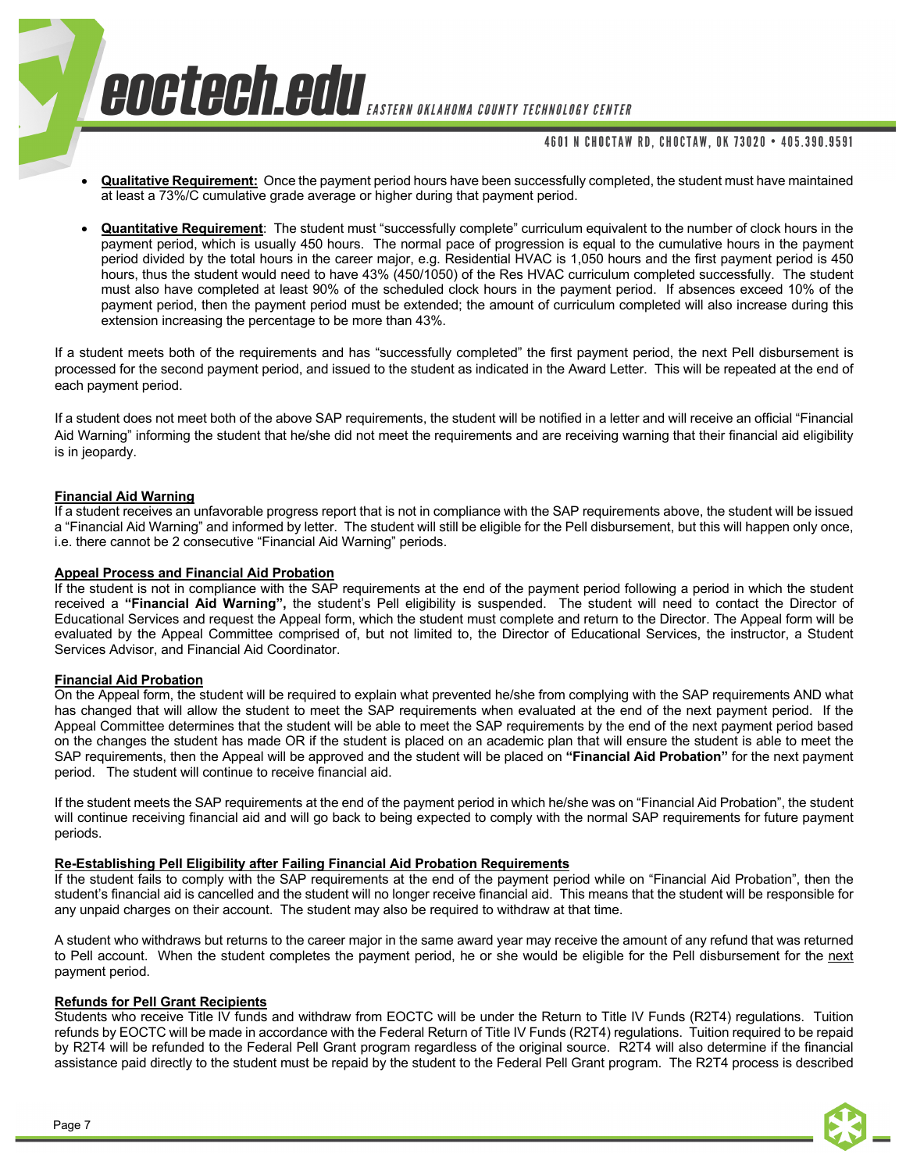## 4601 N CHOCTAW RD. CHOCTAW. OK 73020 . 405.390.9591

- **Qualitative Requirement:** Once the payment period hours have been successfully completed, the student must have maintained at least a 73%/C cumulative grade average or higher during that payment period.
- **Quantitative Requirement**: The student must "successfully complete" curriculum equivalent to the number of clock hours in the payment period, which is usually 450 hours. The normal pace of progression is equal to the cumulative hours in the payment period divided by the total hours in the career major, e.g. Residential HVAC is 1,050 hours and the first payment period is 450 hours, thus the student would need to have 43% (450/1050) of the Res HVAC curriculum completed successfully. The student must also have completed at least 90% of the scheduled clock hours in the payment period. If absences exceed 10% of the payment period, then the payment period must be extended; the amount of curriculum completed will also increase during this extension increasing the percentage to be more than 43%.

If a student meets both of the requirements and has "successfully completed" the first payment period, the next Pell disbursement is processed for the second payment period, and issued to the student as indicated in the Award Letter. This will be repeated at the end of each payment period.

If a student does not meet both of the above SAP requirements, the student will be notified in a letter and will receive an official "Financial Aid Warning" informing the student that he/she did not meet the requirements and are receiving warning that their financial aid eligibility is in jeopardy.

## **Financial Aid Warning**

If a student receives an unfavorable progress report that is not in compliance with the SAP requirements above, the student will be issued a "Financial Aid Warning" and informed by letter. The student will still be eligible for the Pell disbursement, but this will happen only once, i.e. there cannot be 2 consecutive "Financial Aid Warning" periods.

## **Appeal Process and Financial Aid Probation**

If the student is not in compliance with the SAP requirements at the end of the payment period following a period in which the student received a **"Financial Aid Warning",** the student's Pell eligibility is suspended. The student will need to contact the Director of Educational Services and request the Appeal form, which the student must complete and return to the Director. The Appeal form will be evaluated by the Appeal Committee comprised of, but not limited to, the Director of Educational Services, the instructor, a Student Services Advisor, and Financial Aid Coordinator.

## **Financial Aid Probation**

On the Appeal form, the student will be required to explain what prevented he/she from complying with the SAP requirements AND what has changed that will allow the student to meet the SAP requirements when evaluated at the end of the next payment period. If the Appeal Committee determines that the student will be able to meet the SAP requirements by the end of the next payment period based on the changes the student has made OR if the student is placed on an academic plan that will ensure the student is able to meet the SAP requirements, then the Appeal will be approved and the student will be placed on **"Financial Aid Probation"** for the next payment period. The student will continue to receive financial aid.

If the student meets the SAP requirements at the end of the payment period in which he/she was on "Financial Aid Probation", the student will continue receiving financial aid and will go back to being expected to comply with the normal SAP requirements for future payment periods.

## **Re-Establishing Pell Eligibility after Failing Financial Aid Probation Requirements**

If the student fails to comply with the SAP requirements at the end of the payment period while on "Financial Aid Probation", then the student's financial aid is cancelled and the student will no longer receive financial aid. This means that the student will be responsible for any unpaid charges on their account. The student may also be required to withdraw at that time.

A student who withdraws but returns to the career major in the same award year may receive the amount of any refund that was returned to Pell account. When the student completes the payment period, he or she would be eligible for the Pell disbursement for the next payment period.

## **Refunds for Pell Grant Recipients**

Students who receive Title IV funds and withdraw from EOCTC will be under the Return to Title IV Funds (R2T4) regulations. Tuition refunds by EOCTC will be made in accordance with the Federal Return of Title IV Funds (R2T4) regulations. Tuition required to be repaid by R2T4 will be refunded to the Federal Pell Grant program regardless of the original source. R2T4 will also determine if the financial assistance paid directly to the student must be repaid by the student to the Federal Pell Grant program. The R2T4 process is described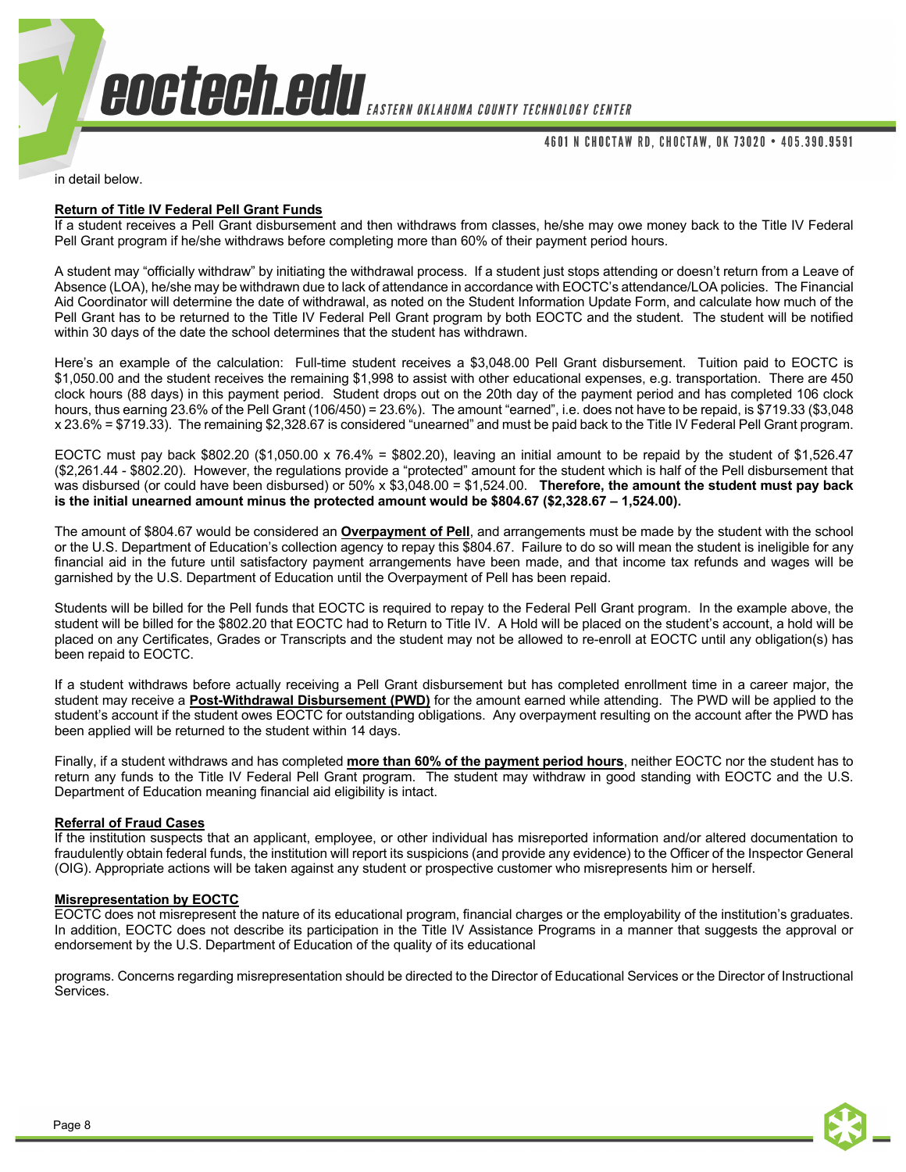#### 4601 N CHOCTAW RD, CHOCTAW, OK 73020 • 405.390.9591

in detail below.

#### **Return of Title IV Federal Pell Grant Funds**

If a student receives a Pell Grant disbursement and then withdraws from classes, he/she may owe money back to the Title IV Federal Pell Grant program if he/she withdraws before completing more than 60% of their payment period hours.

A student may "officially withdraw" by initiating the withdrawal process. If a student just stops attending or doesn't return from a Leave of Absence (LOA), he/she may be withdrawn due to lack of attendance in accordance with EOCTC's attendance/LOA policies. The Financial Aid Coordinator will determine the date of withdrawal, as noted on the Student Information Update Form, and calculate how much of the Pell Grant has to be returned to the Title IV Federal Pell Grant program by both EOCTC and the student. The student will be notified within 30 days of the date the school determines that the student has withdrawn.

Here's an example of the calculation: Full-time student receives a \$3,048.00 Pell Grant disbursement. Tuition paid to EOCTC is \$1,050.00 and the student receives the remaining \$1,998 to assist with other educational expenses, e.g. transportation. There are 450 clock hours (88 days) in this payment period. Student drops out on the 20th day of the payment period and has completed 106 clock hours, thus earning 23.6% of the Pell Grant (106/450) = 23.6%). The amount "earned", i.e. does not have to be repaid, is \$719.33 (\$3,048 x 23.6% = \$719.33). The remaining \$2,328.67 is considered "unearned" and must be paid back to the Title IV Federal Pell Grant program.

EOCTC must pay back  $$802.20 ($1,050.00 \times 76.4\% = $802.20)$ , leaving an initial amount to be repaid by the student of \$1,526.47 (\$2,261.44 - \$802.20). However, the regulations provide a "protected" amount for the student which is half of the Pell disbursement that was disbursed (or could have been disbursed) or 50% x \$3,048.00 = \$1,524.00. **Therefore, the amount the student must pay back is the initial unearned amount minus the protected amount would be \$804.67 (\$2,328.67 – 1,524.00).** 

The amount of \$804.67 would be considered an **Overpayment of Pell**, and arrangements must be made by the student with the school or the U.S. Department of Education's collection agency to repay this \$804.67. Failure to do so will mean the student is ineligible for any financial aid in the future until satisfactory payment arrangements have been made, and that income tax refunds and wages will be garnished by the U.S. Department of Education until the Overpayment of Pell has been repaid.

Students will be billed for the Pell funds that EOCTC is required to repay to the Federal Pell Grant program. In the example above, the student will be billed for the \$802.20 that EOCTC had to Return to Title IV. A Hold will be placed on the student's account, a hold will be placed on any Certificates, Grades or Transcripts and the student may not be allowed to re-enroll at EOCTC until any obligation(s) has been repaid to EOCTC.

If a student withdraws before actually receiving a Pell Grant disbursement but has completed enrollment time in a career major, the student may receive a **Post-Withdrawal Disbursement (PWD)** for the amount earned while attending. The PWD will be applied to the student's account if the student owes EOCTC for outstanding obligations. Any overpayment resulting on the account after the PWD has been applied will be returned to the student within 14 days.

Finally, if a student withdraws and has completed **more than 60% of the payment period hours**, neither EOCTC nor the student has to return any funds to the Title IV Federal Pell Grant program. The student may withdraw in good standing with EOCTC and the U.S. Department of Education meaning financial aid eligibility is intact.

#### **Referral of Fraud Cases**

If the institution suspects that an applicant, employee, or other individual has misreported information and/or altered documentation to fraudulently obtain federal funds, the institution will report its suspicions (and provide any evidence) to the Officer of the Inspector General (OIG). Appropriate actions will be taken against any student or prospective customer who misrepresents him or herself.

## **Misrepresentation by EOCTC**

EOCTC does not misrepresent the nature of its educational program, financial charges or the employability of the institution's graduates. In addition, EOCTC does not describe its participation in the Title IV Assistance Programs in a manner that suggests the approval or endorsement by the U.S. Department of Education of the quality of its educational

programs. Concerns regarding misrepresentation should be directed to the Director of Educational Services or the Director of Instructional Services.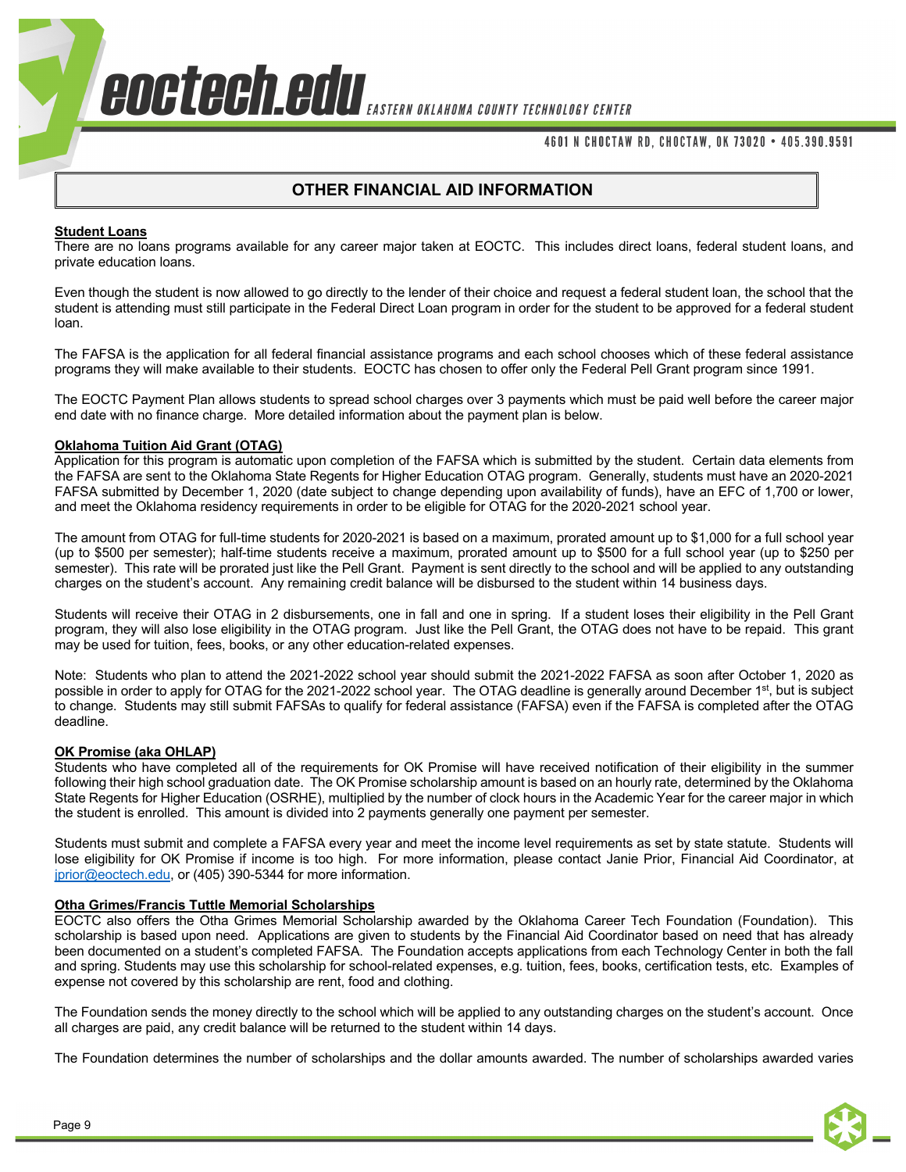## 4601 N CHOCTAW RD, CHOCTAW, OK 73020 • 405.390.9591

## **OTHER FINANCIAL AID INFORMATION**

#### **Student Loans**

There are no loans programs available for any career major taken at EOCTC. This includes direct loans, federal student loans, and private education loans.

Even though the student is now allowed to go directly to the lender of their choice and request a federal student loan, the school that the student is attending must still participate in the Federal Direct Loan program in order for the student to be approved for a federal student loan.

The FAFSA is the application for all federal financial assistance programs and each school chooses which of these federal assistance programs they will make available to their students. EOCTC has chosen to offer only the Federal Pell Grant program since 1991.

The EOCTC Payment Plan allows students to spread school charges over 3 payments which must be paid well before the career major end date with no finance charge. More detailed information about the payment plan is below.

#### **Oklahoma Tuition Aid Grant (OTAG)**

Application for this program is automatic upon completion of the FAFSA which is submitted by the student. Certain data elements from the FAFSA are sent to the Oklahoma State Regents for Higher Education OTAG program. Generally, students must have an 2020-2021 FAFSA submitted by December 1, 2020 (date subject to change depending upon availability of funds), have an EFC of 1,700 or lower, and meet the Oklahoma residency requirements in order to be eligible for OTAG for the 2020-2021 school year.

The amount from OTAG for full-time students for 2020-2021 is based on a maximum, prorated amount up to \$1,000 for a full school year (up to \$500 per semester); half-time students receive a maximum, prorated amount up to \$500 for a full school year (up to \$250 per semester). This rate will be prorated just like the Pell Grant. Payment is sent directly to the school and will be applied to any outstanding charges on the student's account. Any remaining credit balance will be disbursed to the student within 14 business days.

Students will receive their OTAG in 2 disbursements, one in fall and one in spring. If a student loses their eligibility in the Pell Grant program, they will also lose eligibility in the OTAG program. Just like the Pell Grant, the OTAG does not have to be repaid. This grant may be used for tuition, fees, books, or any other education-related expenses.

Note: Students who plan to attend the 2021-2022 school year should submit the 2021-2022 FAFSA as soon after October 1, 2020 as possible in order to apply for OTAG for the 2021-2022 school year. The OTAG deadline is generally around December 1<sup>st</sup>, but is subject to change. Students may still submit FAFSAs to qualify for federal assistance (FAFSA) even if the FAFSA is completed after the OTAG deadline.

#### **OK Promise (aka OHLAP)**

Students who have completed all of the requirements for OK Promise will have received notification of their eligibility in the summer following their high school graduation date. The OK Promise scholarship amount is based on an hourly rate, determined by the Oklahoma State Regents for Higher Education (OSRHE), multiplied by the number of clock hours in the Academic Year for the career major in which the student is enrolled. This amount is divided into 2 payments generally one payment per semester.

Students must submit and complete a FAFSA every year and meet the income level requirements as set by state statute. Students will lose eligibility for OK Promise if income is too high. For more information, please contact Janie Prior, Financial Aid Coordinator, at jprior@eoctech.edu, or (405) 390-5344 for more information.

#### **Otha Grimes/Francis Tuttle Memorial Scholarships**

EOCTC also offers the Otha Grimes Memorial Scholarship awarded by the Oklahoma Career Tech Foundation (Foundation). This scholarship is based upon need. Applications are given to students by the Financial Aid Coordinator based on need that has already been documented on a student's completed FAFSA. The Foundation accepts applications from each Technology Center in both the fall and spring. Students may use this scholarship for school-related expenses, e.g. tuition, fees, books, certification tests, etc. Examples of expense not covered by this scholarship are rent, food and clothing.

The Foundation sends the money directly to the school which will be applied to any outstanding charges on the student's account. Once all charges are paid, any credit balance will be returned to the student within 14 days.

The Foundation determines the number of scholarships and the dollar amounts awarded. The number of scholarships awarded varies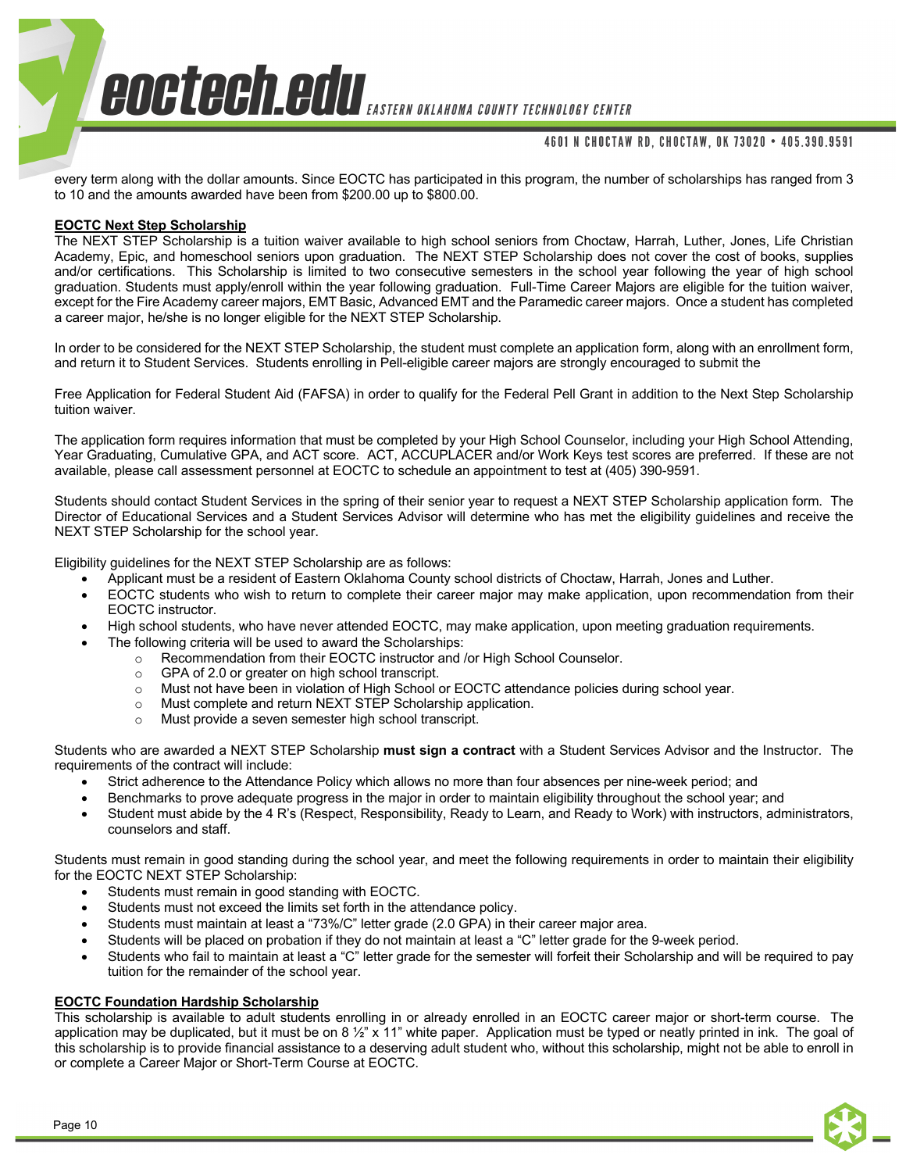## 4601 N CHOCTAW RD, CHOCTAW, OK 73020 • 405.390.9591

every term along with the dollar amounts. Since EOCTC has participated in this program, the number of scholarships has ranged from 3 to 10 and the amounts awarded have been from \$200.00 up to \$800.00.

## **EOCTC Next Step Scholarship**

The NEXT STEP Scholarship is a tuition waiver available to high school seniors from Choctaw, Harrah, Luther, Jones, Life Christian Academy, Epic, and homeschool seniors upon graduation. The NEXT STEP Scholarship does not cover the cost of books, supplies and/or certifications. This Scholarship is limited to two consecutive semesters in the school year following the year of high school graduation. Students must apply/enroll within the year following graduation. Full-Time Career Majors are eligible for the tuition waiver, except for the Fire Academy career majors, EMT Basic, Advanced EMT and the Paramedic career majors. Once a student has completed a career major, he/she is no longer eligible for the NEXT STEP Scholarship.

In order to be considered for the NEXT STEP Scholarship, the student must complete an application form, along with an enrollment form, and return it to Student Services. Students enrolling in Pell-eligible career majors are strongly encouraged to submit the

Free Application for Federal Student Aid (FAFSA) in order to qualify for the Federal Pell Grant in addition to the Next Step Scholarship tuition waiver.

The application form requires information that must be completed by your High School Counselor, including your High School Attending, Year Graduating, Cumulative GPA, and ACT score. ACT, ACCUPLACER and/or Work Keys test scores are preferred. If these are not available, please call assessment personnel at EOCTC to schedule an appointment to test at (405) 390-9591.

Students should contact Student Services in the spring of their senior year to request a NEXT STEP Scholarship application form. The Director of Educational Services and a Student Services Advisor will determine who has met the eligibility guidelines and receive the NEXT STEP Scholarship for the school year.

Eligibility guidelines for the NEXT STEP Scholarship are as follows:

- Applicant must be a resident of Eastern Oklahoma County school districts of Choctaw, Harrah, Jones and Luther.
- EOCTC students who wish to return to complete their career major may make application, upon recommendation from their EOCTC instructor.
- High school students, who have never attended EOCTC, may make application, upon meeting graduation requirements.
- The following criteria will be used to award the Scholarships:
	- o Recommendation from their EOCTC instructor and /or High School Counselor.
	- o GPA of 2.0 or greater on high school transcript.
	- o Must not have been in violation of High School or EOCTC attendance policies during school year.
	- o Must complete and return NEXT STEP Scholarship application.
	- o Must provide a seven semester high school transcript.

Students who are awarded a NEXT STEP Scholarship **must sign a contract** with a Student Services Advisor and the Instructor. The requirements of the contract will include:

- Strict adherence to the Attendance Policy which allows no more than four absences per nine-week period; and
- Benchmarks to prove adequate progress in the major in order to maintain eligibility throughout the school year; and
- Student must abide by the 4 R's (Respect, Responsibility, Ready to Learn, and Ready to Work) with instructors, administrators, counselors and staff.

Students must remain in good standing during the school year, and meet the following requirements in order to maintain their eligibility for the EOCTC NEXT STEP Scholarship:

- Students must remain in good standing with EOCTC.
- Students must not exceed the limits set forth in the attendance policy.
- Students must maintain at least a "73%/C" letter grade (2.0 GPA) in their career major area.
- Students will be placed on probation if they do not maintain at least a "C" letter grade for the 9-week period.
- Students who fail to maintain at least a "C" letter grade for the semester will forfeit their Scholarship and will be required to pay tuition for the remainder of the school year.

## **EOCTC Foundation Hardship Scholarship**

This scholarship is available to adult students enrolling in or already enrolled in an EOCTC career major or short-term course. The application may be duplicated, but it must be on 8  $\frac{1}{2}$ " x 11" white paper. Application must be typed or neatly printed in ink. The goal of this scholarship is to provide financial assistance to a deserving adult student who, without this scholarship, might not be able to enroll in or complete a Career Major or Short-Term Course at EOCTC.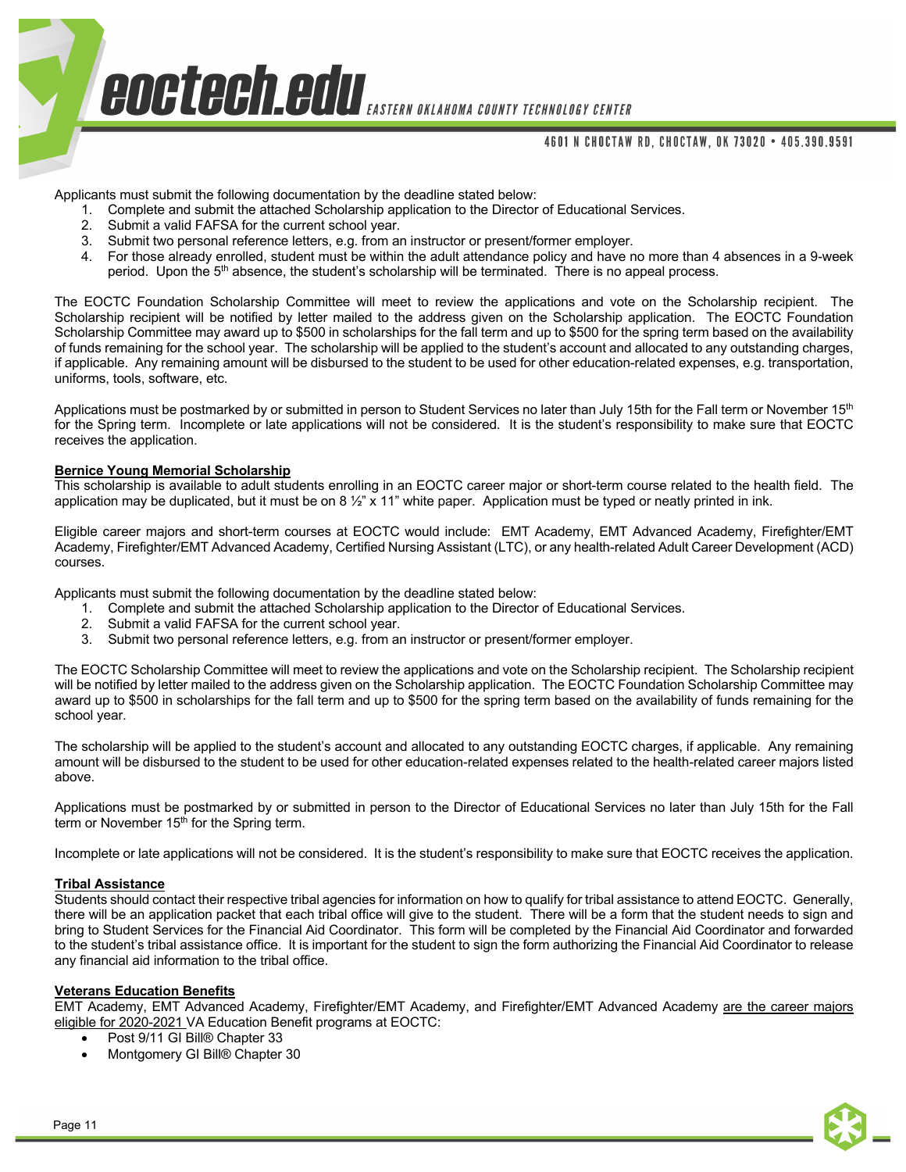## 4601 N CHOCTAW RD, CHOCTAW, OK 73020 • 405.390.9591

Applicants must submit the following documentation by the deadline stated below:

- 1. Complete and submit the attached Scholarship application to the Director of Educational Services.
- 2. Submit a valid FAFSA for the current school year.
- 3. Submit two personal reference letters, e.g. from an instructor or present/former employer.
- 4. For those already enrolled, student must be within the adult attendance policy and have no more than 4 absences in a 9-week period. Upon the 5<sup>th</sup> absence, the student's scholarship will be terminated. There is no appeal process.

The EOCTC Foundation Scholarship Committee will meet to review the applications and vote on the Scholarship recipient. The Scholarship recipient will be notified by letter mailed to the address given on the Scholarship application. The EOCTC Foundation Scholarship Committee may award up to \$500 in scholarships for the fall term and up to \$500 for the spring term based on the availability of funds remaining for the school year. The scholarship will be applied to the student's account and allocated to any outstanding charges, if applicable. Any remaining amount will be disbursed to the student to be used for other education-related expenses, e.g. transportation, uniforms, tools, software, etc.

Applications must be postmarked by or submitted in person to Student Services no later than July 15th for the Fall term or November 15<sup>th</sup> for the Spring term. Incomplete or late applications will not be considered. It is the student's responsibility to make sure that EOCTC receives the application.

#### **Bernice Young Memorial Scholarship**

This scholarship is available to adult students enrolling in an EOCTC career major or short-term course related to the health field. The application may be duplicated, but it must be on 8  $\frac{1}{2}$ " x 11" white paper. Application must be typed or neatly printed in ink.

Eligible career majors and short-term courses at EOCTC would include: EMT Academy, EMT Advanced Academy, Firefighter/EMT Academy, Firefighter/EMT Advanced Academy, Certified Nursing Assistant (LTC), or any health-related Adult Career Development (ACD) courses.

Applicants must submit the following documentation by the deadline stated below:

- 1. Complete and submit the attached Scholarship application to the Director of Educational Services.
- 2. Submit a valid FAFSA for the current school year.
- 3. Submit two personal reference letters, e.g. from an instructor or present/former employer.

The EOCTC Scholarship Committee will meet to review the applications and vote on the Scholarship recipient. The Scholarship recipient will be notified by letter mailed to the address given on the Scholarship application. The EOCTC Foundation Scholarship Committee may award up to \$500 in scholarships for the fall term and up to \$500 for the spring term based on the availability of funds remaining for the school year.

The scholarship will be applied to the student's account and allocated to any outstanding EOCTC charges, if applicable. Any remaining amount will be disbursed to the student to be used for other education-related expenses related to the health-related career majors listed above.

Applications must be postmarked by or submitted in person to the Director of Educational Services no later than July 15th for the Fall term or November 15<sup>th</sup> for the Spring term.

Incomplete or late applications will not be considered. It is the student's responsibility to make sure that EOCTC receives the application.

## **Tribal Assistance**

Students should contact their respective tribal agencies for information on how to qualify for tribal assistance to attend EOCTC. Generally, there will be an application packet that each tribal office will give to the student. There will be a form that the student needs to sign and bring to Student Services for the Financial Aid Coordinator. This form will be completed by the Financial Aid Coordinator and forwarded to the student's tribal assistance office. It is important for the student to sign the form authorizing the Financial Aid Coordinator to release any financial aid information to the tribal office.

## **Veterans Education Benefits**

EMT Academy, EMT Advanced Academy, Firefighter/EMT Academy, and Firefighter/EMT Advanced Academy are the career majors eligible for 2020-2021 VA Education Benefit programs at EOCTC:

- Post 9/11 GI Bill® Chapter 33
- Montgomery GI Bill® Chapter 30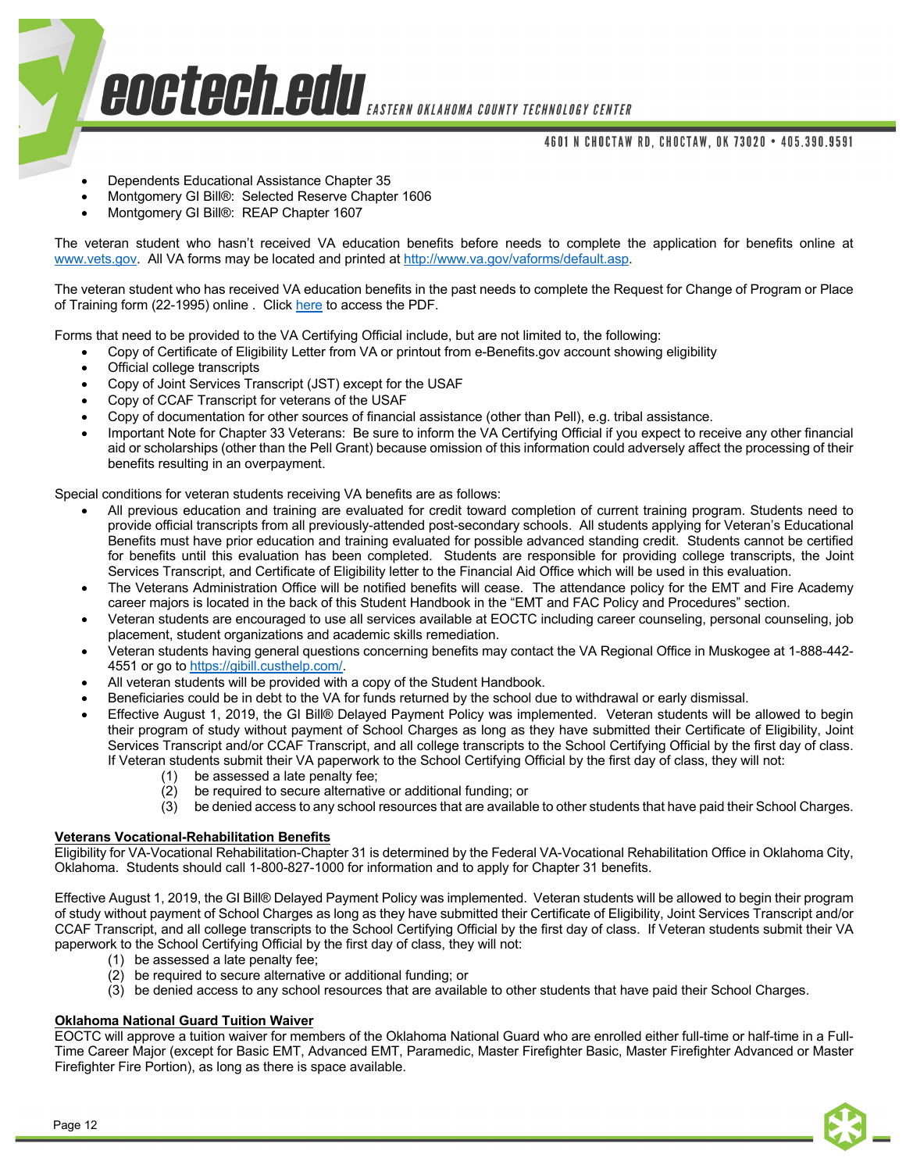## 4601 N CHOCTAW RD, CHOCTAW, OK 73020 • 405.390.9591

- Dependents Educational Assistance Chapter 35
- Montgomery GI Bill®: Selected Reserve Chapter 1606
- Montgomery GI Bill®: REAP Chapter 1607

The veteran student who hasn't received VA education benefits before needs to complete the application for benefits online at www.vets.gov. All VA forms may be located and printed at http://www.va.gov/vaforms/default.asp.

The veteran student who has received VA education benefits in the past needs to complete the Request for Change of Program or Place of Training form (22-1995) online . Click here to access the PDF.

Forms that need to be provided to the VA Certifying Official include, but are not limited to, the following:

- Copy of Certificate of Eligibility Letter from VA or printout from e-Benefits.gov account showing eligibility
- Official college transcripts
- Copy of Joint Services Transcript (JST) except for the USAF
- Copy of CCAF Transcript for veterans of the USAF
- Copy of documentation for other sources of financial assistance (other than Pell), e.g. tribal assistance.
- Important Note for Chapter 33 Veterans: Be sure to inform the VA Certifying Official if you expect to receive any other financial aid or scholarships (other than the Pell Grant) because omission of this information could adversely affect the processing of their benefits resulting in an overpayment.

Special conditions for veteran students receiving VA benefits are as follows:

- All previous education and training are evaluated for credit toward completion of current training program. Students need to provide official transcripts from all previously-attended post-secondary schools. All students applying for Veteran's Educational Benefits must have prior education and training evaluated for possible advanced standing credit. Students cannot be certified for benefits until this evaluation has been completed. Students are responsible for providing college transcripts, the Joint Services Transcript, and Certificate of Eligibility letter to the Financial Aid Office which will be used in this evaluation.
- The Veterans Administration Office will be notified benefits will cease. The attendance policy for the EMT and Fire Academy career majors is located in the back of this Student Handbook in the "EMT and FAC Policy and Procedures" section.
- Veteran students are encouraged to use all services available at EOCTC including career counseling, personal counseling, job placement, student organizations and academic skills remediation.
- Veteran students having general questions concerning benefits may contact the VA Regional Office in Muskogee at 1-888-442- 4551 or go to https://gibill.custhelp.com/.
- All veteran students will be provided with a copy of the Student Handbook.
- Beneficiaries could be in debt to the VA for funds returned by the school due to withdrawal or early dismissal.
- Effective August 1, 2019, the GI Bill® Delayed Payment Policy was implemented. Veteran students will be allowed to begin their program of study without payment of School Charges as long as they have submitted their Certificate of Eligibility, Joint Services Transcript and/or CCAF Transcript, and all college transcripts to the School Certifying Official by the first day of class. If Veteran students submit their VA paperwork to the School Certifying Official by the first day of class, they will not:
	- (1) be assessed a late penalty fee;
	- (2) be required to secure alternative or additional funding; or
	- (3) be denied access to any school resources that are available to other students that have paid their School Charges.

## **Veterans Vocational-Rehabilitation Benefits**

Eligibility for VA-Vocational Rehabilitation-Chapter 31 is determined by the Federal VA-Vocational Rehabilitation Office in Oklahoma City, Oklahoma. Students should call 1-800-827-1000 for information and to apply for Chapter 31 benefits.

Effective August 1, 2019, the GI Bill® Delayed Payment Policy was implemented. Veteran students will be allowed to begin their program of study without payment of School Charges as long as they have submitted their Certificate of Eligibility, Joint Services Transcript and/or CCAF Transcript, and all college transcripts to the School Certifying Official by the first day of class. If Veteran students submit their VA paperwork to the School Certifying Official by the first day of class, they will not:

- (1) be assessed a late penalty fee;
- (2) be required to secure alternative or additional funding; or
- (3) be denied access to any school resources that are available to other students that have paid their School Charges.

## **Oklahoma National Guard Tuition Waiver**

EOCTC will approve a tuition waiver for members of the Oklahoma National Guard who are enrolled either full-time or half-time in a Full-Time Career Major (except for Basic EMT, Advanced EMT, Paramedic, Master Firefighter Basic, Master Firefighter Advanced or Master Firefighter Fire Portion), as long as there is space available.